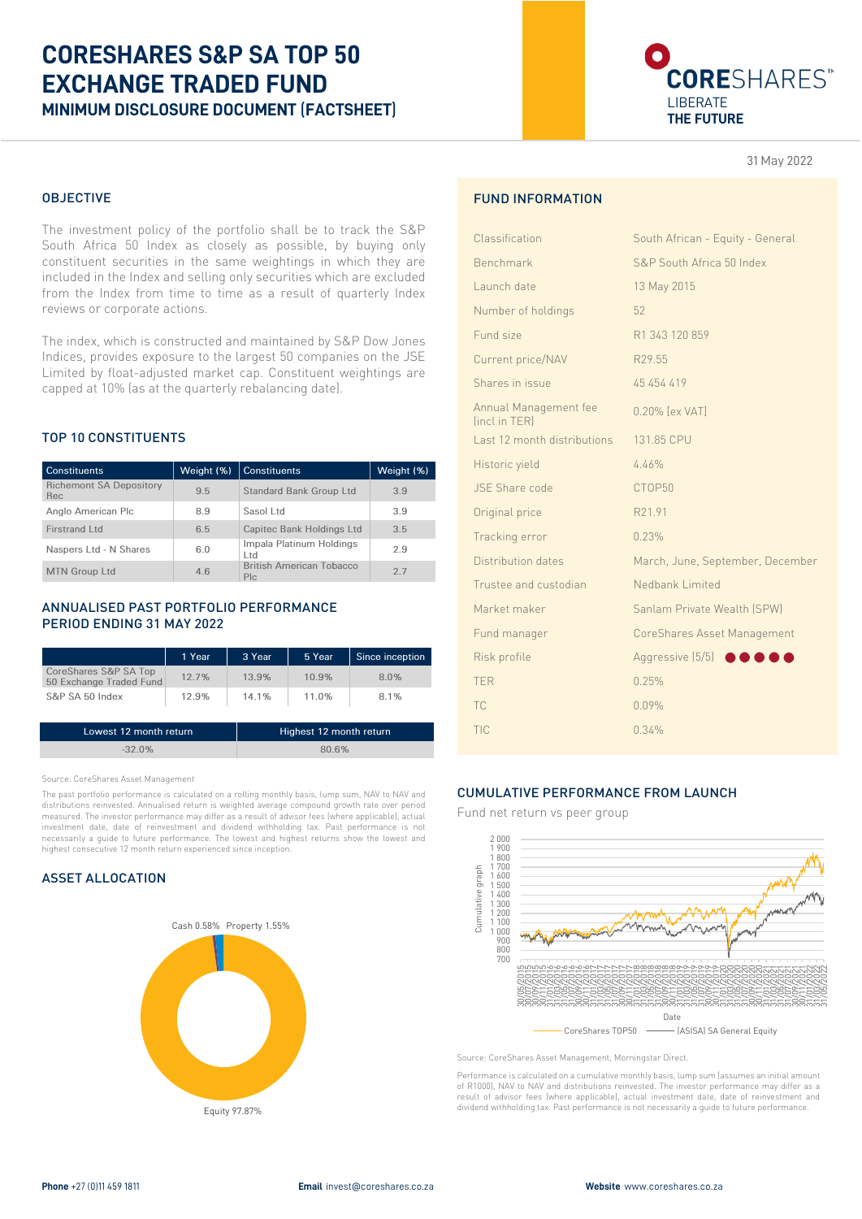# **CORESHARES S&P SA TOP 50 EXCHANGE TRADED FUND MINIMUM DISCLOSURE DOCUMENT** (**FACTSHEET**)



31 May 2022

## OBJECTIVE

The investment policy of the portfolio shall be to track the S&P South Africa 50 Index as closely as possible, by buying only constituent securities in the same weightings in which they are included in the Index and selling only securities which are excluded from the Index from time to time as a result of quarterly Index reviews or corporate actions.

The index, which is constructed and maintained by S&P Dow Jones Indices, provides exposure to the largest 50 companies on the JSE Limited by float-adjusted market cap. Constituent weightings are capped at 10% (as at the quarterly rebalancing date).

# TOP 10 CONSTITUENTS

| <b>Constituents</b>                   | Weight (%) | <b>Constituents</b>                     | Weight (%) |
|---------------------------------------|------------|-----------------------------------------|------------|
| <b>Richemont SA Depository</b><br>Rec | 9.5        | <b>Standard Bank Group Ltd</b>          | 3.9        |
| Anglo American Plc                    | 8.9        | Sasol Ltd                               | 3.9        |
| Firstrand Ltd                         | 6.5        | Capitec Bank Holdings Ltd               | 3.5        |
| Naspers Ltd - N Shares                | 6.0        | Impala Platinum Holdings<br>Ltd         | 2.9        |
| <b>MTN Group Ltd</b>                  | 4.6        | <b>British American Tobacco</b><br>Plc. | 2.7        |

# ANNUALISED PAST PORTFOLIO PERFORMANCE PERIOD ENDING 31 MAY 2022

|                                                  | 1 Year | 3 Year | 5 Year | Since inception |
|--------------------------------------------------|--------|--------|--------|-----------------|
| CoreShares S&P SA Top<br>50 Exchange Traded Fund | 12.7%  | 13.9%  | 10.9%  | 8.0%            |
| S&P SA 50 Index                                  | 12.9%  | 14.1%  | 11.0%  | 8.1%            |

| Lowest 12 month return | Highest 12 month return |
|------------------------|-------------------------|
| $-32.0\%$              | 80.6%                   |

Source: CoreShares Asset Management

The past portfolio performance is calculated on a rolling monthly basis, lump sum, NAV to NAV and distributions reinvested. Annualised return is weighted average compound growth rate over period measured. The investor performance may differ as a result of advisor fees (where applicable), actual investment date, date of reinvestment and dividend withholding tax. Past performance is not necessarily a guide to future performance. The lowest and highest returns show the lowest and highest consecutive 12 month return experienced since inception.

# ASSET ALLOCATION



# FUND INFORMATION

| Classification                         | South African - Equity - General   |
|----------------------------------------|------------------------------------|
| Benchmark                              | S&P South Africa 50 Index          |
| Launch date                            | 13 May 2015                        |
| Number of holdings                     | 52                                 |
| Fund size                              | R1 343 120 859                     |
| Current price/NAV                      | R29.55                             |
| Shares in issue                        | 45 454 419                         |
| Annual Management fee<br>finct in TERI | 0.20% [ex VAT]                     |
| Last 12 month distributions            | 131.85 CPU                         |
| Historic yield                         | 4.46%                              |
| JSE Share code                         | CTOP50                             |
| Original price                         | R21.91                             |
| Tracking error                         | 0.23%                              |
| Distribution dates                     | March, June, September, December   |
| Trustee and custodian                  | Nedbank Limited                    |
| Market maker                           | Sanlam Private Wealth (SPW)        |
| Fund manager                           | CoreShares Asset Management        |
| Risk profile                           | Aggressive (5/5)<br>$\blacksquare$ |
| <b>TER</b>                             | 0.25%                              |
| <b>TC</b>                              | 0.09%                              |
| TIC                                    | 0.34%                              |

#### CUMULATIVE PERFORMANCE FROM LAUNCH

Fund net return vs peer group



Source: CoreShares Asset Management, Morningstar Direct.

Performance is calculated on a cumulative monthly basis, lump sum (assumes an initial amount of R1000), NAV to NAV and distributions reinvested. The investor performance may differ as a result of advisor fees (where applicable), actual investment date, date of reinvestment and dividend withholding tax. Past performance is not necessarily a guide to future performance.